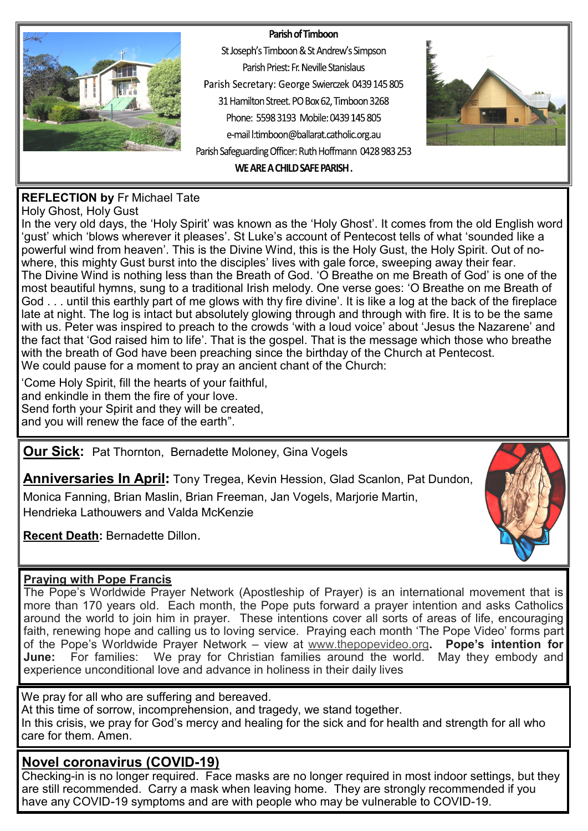#### Parish of Timboon



St Joseph's Timboon & St Andrew's Simpson Parish Priest: Fr. Neville Stanislaus Parish Secretary: George Swierczek 0439 145 805 31 Hamilton Street. PO Box 62, Timboon 3268 Phone: 5598 3193 Mobile: 0439 145 805 e-mail l:timboon@ballarat.catholic.org.au Parish Safeguarding Officer: Ruth Hoffmann 0428 983 253 WE ARE A CHILD SAFE PARISH.



#### **REFLECTION by** Fr Michael Tate

Holy Ghost, Holy Gust

In the very old days, the 'Holy Spirit' was known as the 'Holy Ghost'. It comes from the old English word 'gust' which 'blows wherever it pleases'. St Luke's account of Pentecost tells of what 'sounded like a powerful wind from heaven'. This is the Divine Wind, this is the Holy Gust, the Holy Spirit. Out of nowhere, this mighty Gust burst into the disciples' lives with gale force, sweeping away their fear. The Divine Wind is nothing less than the Breath of God. 'O Breathe on me Breath of God' is one of the most beautiful hymns, sung to a traditional Irish melody. One verse goes: 'O Breathe on me Breath of God . . . until this earthly part of me glows with thy fire divine'. It is like a log at the back of the fireplace late at night. The log is intact but absolutely glowing through and through with fire. It is to be the same with us. Peter was inspired to preach to the crowds 'with a loud voice' about 'Jesus the Nazarene' and the fact that 'God raised him to life'. That is the gospel. That is the message which those who breathe with the breath of God have been preaching since the birthday of the Church at Pentecost. We could pause for a moment to pray an ancient chant of the Church:

'Come Holy Spirit, fill the hearts of your faithful, and enkindle in them the fire of your love. Send forth your Spirit and they will be created, and you will renew the face of the earth".

**Our Sick:** Pat Thornton, Bernadette Moloney, Gina Vogels

**Anniversaries In April:** Tony Tregea, Kevin Hession, Glad Scanlon, Pat Dundon,

Monica Fanning, Brian Maslin, Brian Freeman, Jan Vogels, Marjorie Martin, Hendrieka Lathouwers and Valda McKenzie

**Recent Death:** Bernadette Dillon.



#### **Praying with Pope Francis**

The Pope's Worldwide Prayer Network (Apostleship of Prayer) is an international movement that is more than 170 years old. Each month, the Pope puts forward a prayer intention and asks Catholics around the world to join him in prayer. These intentions cover all sorts of areas of life, encouraging faith, renewing hope and calling us to loving service. Praying each month 'The Pope Video' forms part of the Pope's Worldwide Prayer Network – view at [www.thepopevideo.org](http://www.thepopevideo.org/)**. Pope's intention for June:** For families:We pray for Christian families around the world. May they embody and experience unconditional love and advance in holiness in their daily lives

We pray for all who are suffering and bereaved. At this time of sorrow, incomprehension, and tragedy, we stand together. In this crisis, we pray for God's mercy and healing for the sick and for health and strength for all who care for them. Amen.

### **Novel coronavirus (COVID-19)**

Checking-in is no longer required. Face masks are no longer required in most indoor settings, but they are still recommended. Carry a mask when leaving home. They are strongly recommended if you have any COVID-19 symptoms and are with people who may be vulnerable to COVID-19.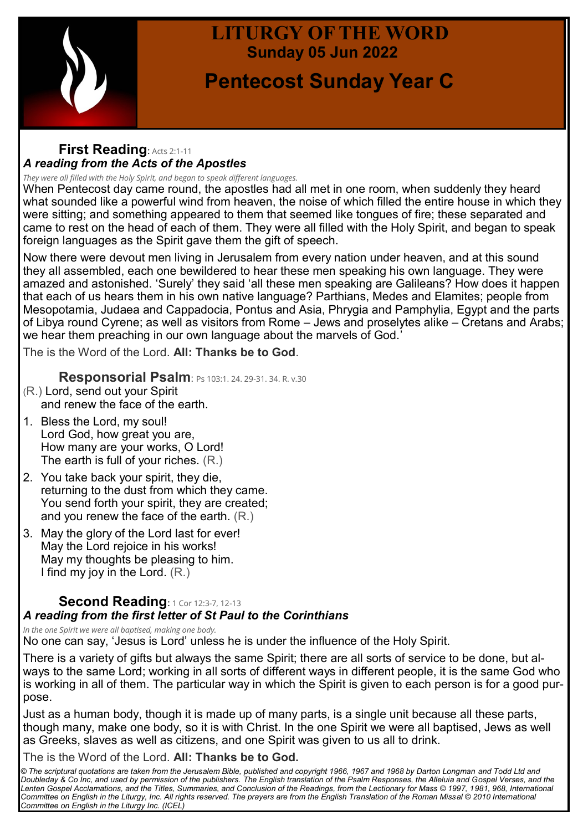

## **LITURGY OF THE WORD Sunday 05 Jun 2022**

# **Pentecost Sunday Year C**

#### **First Reading**: Acts 2:1-<sup>11</sup> *A reading from the Acts of the Apostles*

*They were all filled with the Holy Spirit, and began to speak different languages.*

When Pentecost day came round, the apostles had all met in one room, when suddenly they heard what sounded like a powerful wind from heaven, the noise of which filled the entire house in which they were sitting; and something appeared to them that seemed like tongues of fire; these separated and came to rest on the head of each of them. They were all filled with the Holy Spirit, and began to speak foreign languages as the Spirit gave them the gift of speech.

Now there were devout men living in Jerusalem from every nation under heaven, and at this sound they all assembled, each one bewildered to hear these men speaking his own language. They were amazed and astonished. 'Surely' they said 'all these men speaking are Galileans? How does it happen that each of us hears them in his own native language? Parthians, Medes and Elamites; people from Mesopotamia, Judaea and Cappadocia, Pontus and Asia, Phrygia and Pamphylia, Egypt and the parts of Libya round Cyrene; as well as visitors from Rome – Jews and proselytes alike – Cretans and Arabs; we hear them preaching in our own language about the marvels of God.'

The is the Word of the Lord. **All: Thanks be to God**.

**Responsorial Psalm**: Ps 103:1. 24. 29-31. 34. R. v.30

- (R.) Lord, send out your Spirit and renew the face of the earth.
- 1. Bless the Lord, my soul! Lord God, how great you are, How many are your works, O Lord! The earth is full of your riches. (R.)
- 2. You take back your spirit, they die, returning to the dust from which they came. You send forth your spirit, they are created; and you renew the face of the earth. (R.)
- 3. May the glory of the Lord last for ever! May the Lord rejoice in his works! May my thoughts be pleasing to him. I find my joy in the Lord. (R.)

#### **Second Reading: 1 Cor 12:3-7, 12-13** *A reading from the first letter of St Paul to the Corinthians*

*In the one Spirit we were all baptised, making one body.*

No one can say, 'Jesus is Lord' unless he is under the influence of the Holy Spirit.

There is a variety of gifts but always the same Spirit; there are all sorts of service to be done, but always to the same Lord; working in all sorts of different ways in different people, it is the same God who is working in all of them. The particular way in which the Spirit is given to each person is for a good purpose.

Just as a human body, though it is made up of many parts, is a single unit because all these parts, though many, make one body, so it is with Christ. In the one Spirit we were all baptised, Jews as well as Greeks, slaves as well as citizens, and one Spirit was given to us all to drink.

The is the Word of the Lord. **All: Thanks be to God.**

*© The scriptural quotations are taken from the Jerusalem Bible, published and copyright 1966, 1967 and 1968 by Darton Longman and Todd Ltd and Doubleday & Co Inc, and used by permission of the publishers. The English translation of the Psalm Responses, the Alleluia and Gospel Verses, and the Lenten Gospel Acclamations, and the Titles, Summaries, and Conclusion of the Readings, from the Lectionary for Mass © 1997, 1981, 968, International Committee on English in the Liturgy, Inc. All rights reserved. The prayers are from the English Translation of the Roman Missal © 2010 International Committee on English in the Liturgy Inc. (ICEL)*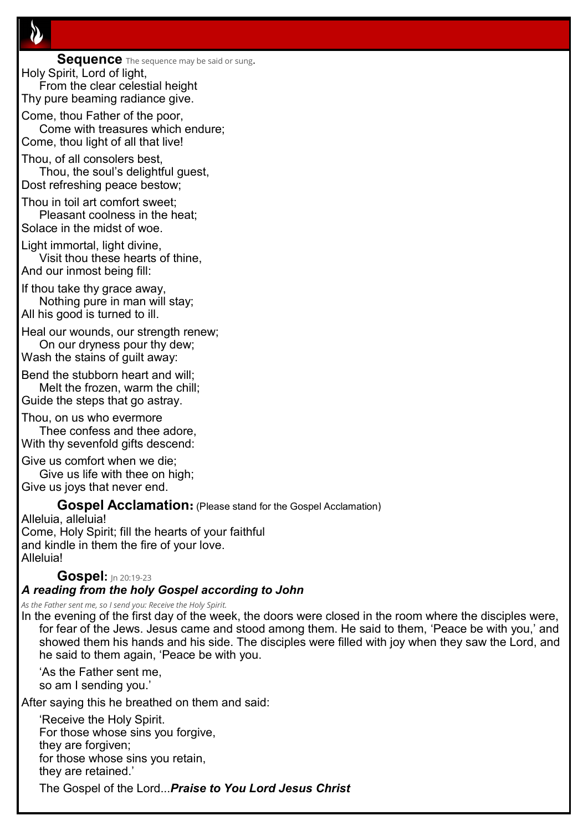**Sequence** The sequence may be said or sung. Holy Spirit, Lord of light, From the clear celestial height

Thy pure beaming radiance give.

Come, thou Father of the poor, Come with treasures which endure; Come, thou light of all that live!

Thou, of all consolers best, Thou, the soul's delightful guest, Dost refreshing peace bestow;

Thou in toil art comfort sweet;

Pleasant coolness in the heat; Solace in the midst of woe.

Light immortal, light divine, Visit thou these hearts of thine,

And our inmost being fill:

If thou take thy grace away, Nothing pure in man will stay; All his good is turned to ill.

Heal our wounds, our strength renew; On our dryness pour thy dew;

Wash the stains of guilt away:

Bend the stubborn heart and will;

Melt the frozen, warm the chill; Guide the steps that go astray.

Thou, on us who evermore Thee confess and thee adore, With thy sevenfold gifts descend:

Give us comfort when we die;

Give us life with thee on high; Give us joys that never end.

**Gospel Acclamation:** (Please stand for the Gospel Acclamation)

Alleluia, alleluia! Come, Holy Spirit; fill the hearts of your faithful and kindle in them the fire of your love. Alleluia!

#### **Gospel:** Jn 20:19-<sup>23</sup>

#### *A reading from the holy Gospel according to John*

*As the Father sent me, so I send you: Receive the Holy Spirit.*

In the evening of the first day of the week, the doors were closed in the room where the disciples were, for fear of the Jews. Jesus came and stood among them. He said to them, 'Peace be with you,' and showed them his hands and his side. The disciples were filled with joy when they saw the Lord, and he said to them again, 'Peace be with you.

'As the Father sent me, so am I sending you.'

After saying this he breathed on them and said:

'Receive the Holy Spirit. For those whose sins you forgive, they are forgiven; for those whose sins you retain, they are retained.' The Gospel of the Lord...*Praise to You Lord Jesus Christ*